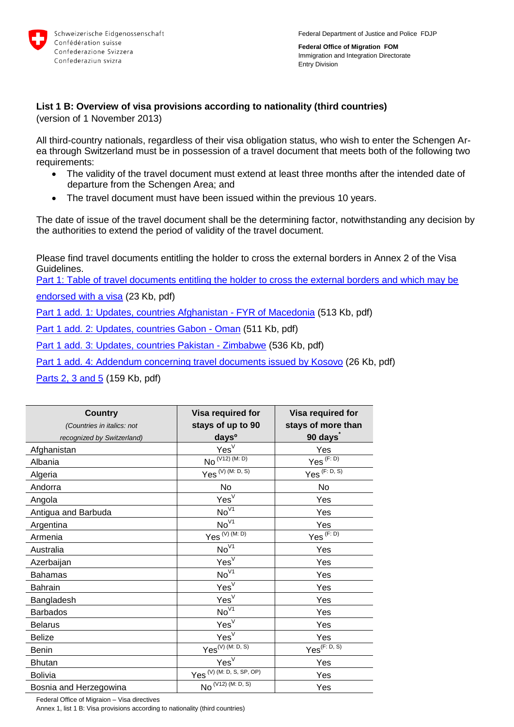

**Federal Office of Migration FOM** Immigration and Integration Directorate Entry Division

## **List 1 B: Overview of visa provisions according to nationality (third countries)**

(version of 1 November 2013)

All third-country nationals, regardless of their visa obligation status, who wish to enter the Schengen Area through Switzerland must be in possession of a travel document that meets both of the following two requirements:

- The validity of the travel document must extend at least three months after the intended date of departure from the Schengen Area; and
- The travel document must have been issued within the previous 10 years.

The date of issue of the travel document shall be the determining factor, notwithstanding any decision by the authorities to extend the period of validity of the travel document.

Please find travel documents entitling the holder to cross the external borders in Annex 2 of the Visa Guidelines.

[Part 1: Table of travel documents entitling the holder to cross the external borders and which may be](http://www.bfm.admin.ch/content/dam/data/bfm/rechtsgrundlagen/weisungen/visa/bfm/bfm-anh02-teil1-e.pdf) 

[endorsed with a visa](http://www.bfm.admin.ch/content/dam/data/bfm/rechtsgrundlagen/weisungen/visa/bfm/bfm-anh02-teil1-e.pdf) (23 Kb, pdf)

[Part 1 add. 1: Updates, countries Afghanistan -](http://www.bfm.admin.ch/content/dam/data/bfm/rechtsgrundlagen/weisungen/visa/bfm/bfm-anh02-teil1-add1-e.pdf) FYR of Macedonia (513 Kb, pdf)

[Part 1 add. 2: Updates, countries Gabon -](http://www.bfm.admin.ch/content/dam/data/bfm/rechtsgrundlagen/weisungen/visa/bfm/bfm-anh02-teil1-add2-e.pdf) Oman (511 Kb, pdf)

[Part 1 add. 3: Updates, countries Pakistan -](http://www.bfm.admin.ch/content/dam/data/bfm/rechtsgrundlagen/weisungen/visa/bfm/bfm-anh02-teil1-add3-e.pdf) Zimbabwe (536 Kb, pdf)

[Part 1 add. 4: Addendum concerning travel documents issued by Kosovo](http://www.bfm.admin.ch/content/dam/data/bfm/rechtsgrundlagen/weisungen/visa/bfm/bfm-anh02-teil1-add4-e.pdf) (26 Kb, pdf)

[Parts 2, 3 and 5](http://www.bfm.admin.ch/content/dam/data/bfm/rechtsgrundlagen/weisungen/visa/bfm/bfm-anh02-teile2-3-5-e.pdf) (159 Kb, pdf)

| <b>Country</b>             | Visa required for                    | Visa required for        |
|----------------------------|--------------------------------------|--------------------------|
| (Countries in italics: not | stays of up to 90                    | stays of more than       |
| recognized by Switzerland) | days <sup>o</sup>                    | 90 days                  |
| Afghanistan                | Yes <sup>V</sup>                     | Yes                      |
| Albania                    | $No^{(V12) (M:D)}$                   | Yes <sup>(F:D)</sup>     |
| Algeria                    | $Yes^{(V)}$ (M: D, S)                | $Yes^{(F: D, S)}$        |
| Andorra                    | No                                   | No                       |
| Angola                     | Yes <sup>V</sup>                     | Yes                      |
| Antigua and Barbuda        | No <sup>V1</sup>                     | Yes                      |
| Argentina                  | $No^{\sqrt{1}}$                      | Yes                      |
| Armenia                    | $Yes^{(V)}$ (M: D)                   | $Yes^{(F:D)}$            |
| Australia                  | No <sup>V1</sup>                     | Yes                      |
| Azerbaijan                 | Yes <sup>V</sup>                     | Yes                      |
| <b>Bahamas</b>             | $No^{\sqrt{1}}$                      | Yes                      |
| <b>Bahrain</b>             | Yes <sup>V</sup>                     | Yes                      |
| Bangladesh                 | Yes <sup>V</sup>                     | Yes                      |
| <b>Barbados</b>            | No <sup>V1</sup>                     | Yes                      |
| <b>Belarus</b>             | Yes <sup>V</sup>                     | Yes                      |
| <b>Belize</b>              | Yes <sup>V</sup>                     | Yes                      |
| Benin                      | $Yes^{(V) (M: D, S)}$                | Yes <sup>(F: D, S)</sup> |
| <b>Bhutan</b>              | Yes <sup>V</sup>                     | Yes                      |
| <b>Bolivia</b>             | Yes <sup>(V)</sup> (M: D, S, SP, OP) | Yes                      |
| Bosnia and Herzegowina     | $No^{(\sqrt{12}) (M: D, S)}$         | Yes                      |

Federal Office of Migraion – Visa directives

Annex 1, list 1 B: Visa provisions according to nationality (third countries)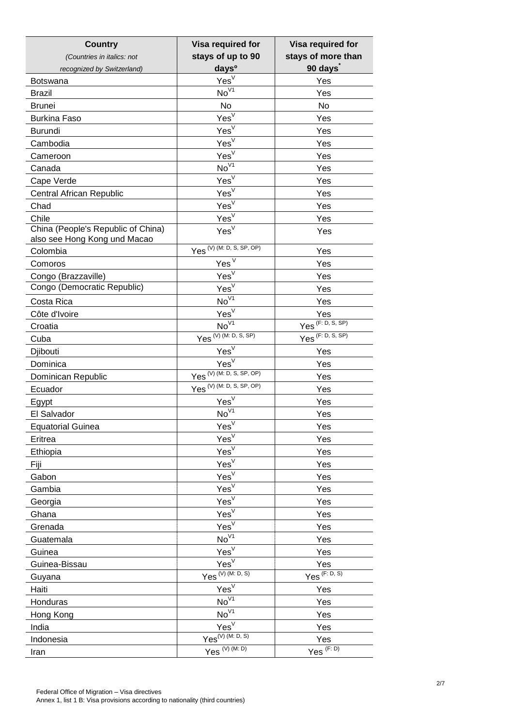| <b>Country</b>                     | Visa required for                        | Visa required for                |
|------------------------------------|------------------------------------------|----------------------------------|
| (Countries in italics: not         | stays of up to 90                        | stays of more than               |
| recognized by Switzerland)         | days <sup>o</sup>                        | 90 days                          |
| <b>Botswana</b>                    | Yes <sup>V</sup>                         | Yes                              |
| <b>Brazil</b>                      | $No^{\overline{V1}}$                     | Yes                              |
| <b>Brunei</b>                      | No                                       | No                               |
| <b>Burkina Faso</b>                | Yes <sup>V</sup>                         | Yes                              |
| <b>Burundi</b>                     | Yes <sup>V</sup>                         | Yes                              |
| Cambodia                           | Yes <sup>V</sup>                         | Yes                              |
| Cameroon                           | Yes <sup>V</sup>                         | Yes                              |
| Canada                             | $No\sqrt{1}$                             | Yes                              |
| Cape Verde                         | $Yes^{\vee}$                             | Yes                              |
| <b>Central African Republic</b>    | Yes <sup>V</sup>                         | Yes                              |
| Chad                               | Yes <sup>V</sup>                         | Yes                              |
| Chile                              | Yes <sup>V</sup>                         | Yes                              |
| China (People's Republic of China) | Yes <sup>V</sup>                         | Yes                              |
| also see Hong Kong und Macao       | Yes <sup>(V)</sup> (M: D, S, SP, OP)     |                                  |
| Colombia                           |                                          | Yes                              |
| Comoros                            | Yes <sup>V</sup>                         | Yes                              |
| Congo (Brazzaville)                | Yes <sup>V</sup>                         | Yes                              |
| Congo (Democratic Republic)        | Yes <sup>V</sup>                         | Yes                              |
| Costa Rica                         | $No\sqrt{1}$                             | Yes                              |
| Côte d'Ivoire                      | Yes <sup>V</sup>                         | Yes                              |
| Croatia                            | $No^{\sqrt{1}}$                          | $Yes^{\overline{(F: D, S, SP)}}$ |
| Cuba                               | $Yes^{(V) (M: D, S, SP)}$                | $Yes^{(F: D, S, SP)}$            |
| Djibouti                           | $Yes^{\overline{V}}$                     | Yes                              |
| Dominica                           | Yes <sup>V</sup>                         | Yes                              |
| Dominican Republic                 | $Yes^{(\overline{V})}$ (M: D, S, SP, OP) | Yes                              |
| Ecuador                            | Yes (V) (M: D, S, SP, OP)                | Yes                              |
| Egypt                              | $\mathsf{Yes}^\vee$                      | Yes                              |
| El Salvador                        | $No\sqrt{1}$                             | Yes                              |
| <b>Equatorial Guinea</b>           | Yes <sup>V</sup>                         | Yes                              |
| Eritrea                            | Yes <sup>V</sup>                         | Yes                              |
| Ethiopia                           | Yes <sup>V</sup>                         | Yes                              |
| Fiji                               | Yes <sup>V</sup>                         | Yes                              |
| Gabon                              | Yes <sup>V</sup>                         | Yes                              |
| Gambia                             | Yes <sup>V</sup>                         | Yes                              |
| Georgia                            | Yes <sup>V</sup>                         | Yes                              |
| Ghana                              | Yes <sup>V</sup>                         | Yes                              |
| Grenada                            | Yes <sup>V</sup>                         | Yes                              |
| Guatemala                          | $No\sqrt{1}$                             | Yes                              |
| Guinea                             | Yes <sup>V</sup>                         | Yes                              |
| Guinea-Bissau                      | Yes <sup>V</sup>                         | Yes                              |
| Guyana                             | Yes <sup>(V)</sup> (M: D, S)             | $Yes^{(F: D, S)}$                |
| Haiti                              | Yes <sup>V</sup>                         | Yes                              |
| Honduras                           | $No\sqrt{1}$                             | Yes                              |
| Hong Kong                          | $No\sqrt{1}$                             | Yes                              |
| India                              | Yes <sup>V</sup>                         | Yes                              |
| Indonesia                          | $Yes^{(V) (M: D, S)}$                    | Yes                              |
| Iran                               | Yes $^{(V)}$ (M. D)                      | $Yes^{(F:D)}$                    |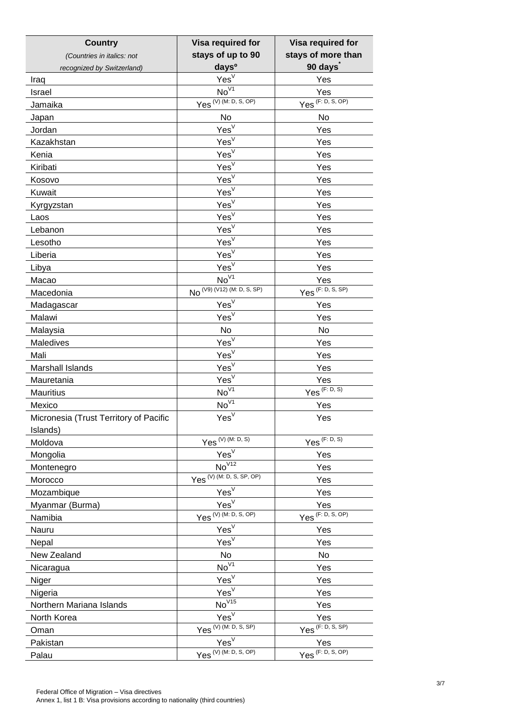| <b>Country</b>                         | Visa required for                                   | Visa required for                |
|----------------------------------------|-----------------------------------------------------|----------------------------------|
| (Countries in italics: not             | stays of up to 90                                   | stays of more than               |
| recognized by Switzerland)             | days <sup>o</sup>                                   | 90 days                          |
| Iraq                                   | Yes <sup>V</sup>                                    | Yes                              |
| Israel                                 | $No^{\sqrt{1}}$                                     | Yes                              |
| Jamaika                                | $Yes^{(\overline{V})}$ (M: D, S, OP)                | $Yes^{(F: D, S, OP)}$            |
| Japan                                  | No                                                  | No                               |
| Jordan                                 | Yes <sup>V</sup>                                    | Yes                              |
| Kazakhstan                             | Yes <sup>V</sup>                                    | Yes                              |
| Kenia                                  | Yes <sup>V</sup>                                    | Yes                              |
| Kiribati                               | Yes <sup>V</sup>                                    | Yes                              |
| Kosovo                                 | Yes <sup>V</sup>                                    | Yes                              |
| Kuwait                                 | Yes <sup>V</sup>                                    | Yes                              |
| Kyrgyzstan                             | Yes <sup>V</sup>                                    | Yes                              |
| Laos                                   | Yes <sup>V</sup>                                    | Yes                              |
| Lebanon                                | Yes <sup>V</sup>                                    | Yes                              |
| Lesotho                                | Yes <sup>V</sup>                                    | Yes                              |
| Liberia                                | Yes <sup>V</sup>                                    | Yes                              |
| Libya                                  | Yes <sup>V</sup>                                    | Yes                              |
| Macao                                  | $\overline{\text{No}}^{\sqrt{1}}$                   | Yes                              |
| Macedonia                              | $No^{(\sqrt{9}) (\sqrt{12}) (\sqrt{M} : D, S, SP)}$ | (F: D, S, SP)<br>Yes             |
| Madagascar                             | Yes <sup>V</sup>                                    | Yes                              |
| Malawi                                 | Yes <sup>V</sup>                                    | Yes                              |
| Malaysia                               | No                                                  | No                               |
| Maledives                              | Yes <sup>V</sup>                                    | Yes                              |
| Mali                                   | Yes <sup>V</sup>                                    | Yes                              |
| Marshall Islands                       | $Yes^{\overline{V}}$                                | Yes                              |
| Mauretania                             | Yes <sup>V</sup>                                    | Yes                              |
| <b>Mauritius</b>                       | $No^{\overline{V1}}$                                | (F: D, S)<br>Yes                 |
| Mexico                                 | $No\sqrt{1}$                                        | Yes                              |
| Micronesia (Trust Territory of Pacific | Yes <sup>V</sup>                                    | Yes                              |
| Islands)                               |                                                     |                                  |
| Moldova                                | $Yes^{(V)}$ (M: D, S)                               | Yes <sup>(F: D, S)</sup>         |
| Mongolia                               | Yes <sup>V</sup>                                    | Yes                              |
| Montenegro                             | $No\sqrt{12}$                                       | Yes                              |
| Morocco                                | $Yes(V)$ (M: D, S, SP, OP)                          | Yes                              |
| Mozambique                             | Yes <sup>V</sup>                                    | Yes                              |
| Myanmar (Burma)                        | Yes <sup>V</sup>                                    | Yes                              |
| Namibia                                | $Yes^{(V) (M: D, S, OP)}$                           | $Yes^{\overline{(F: D, S, OP)}}$ |
| Nauru                                  | Yes <sup>V</sup>                                    | Yes                              |
| Nepal                                  | Yes <sup>V</sup>                                    | Yes                              |
| New Zealand                            | No                                                  | No                               |
| Nicaragua                              | $No^{\sqrt{1}}$                                     | Yes                              |
| Niger                                  | Yes <sup>V</sup>                                    | Yes                              |
| Nigeria                                | Yes <sup>V</sup>                                    | Yes                              |
| Northern Mariana Islands               | No <sup>V15</sup>                                   | Yes                              |
| North Korea                            | Yes <sup>V</sup>                                    | Yes                              |
|                                        | (V) (M: D, S, SP)<br>Yes                            | Yes <sup>(F: D, S, SP)</sup>     |
| Oman<br>Pakistan                       | Yes <sup>V</sup>                                    | Yes                              |
| Palau                                  | $Yes^{(V) (M: D, S, OP)}$                           | $Yes^{(F: D, S, OP)}$            |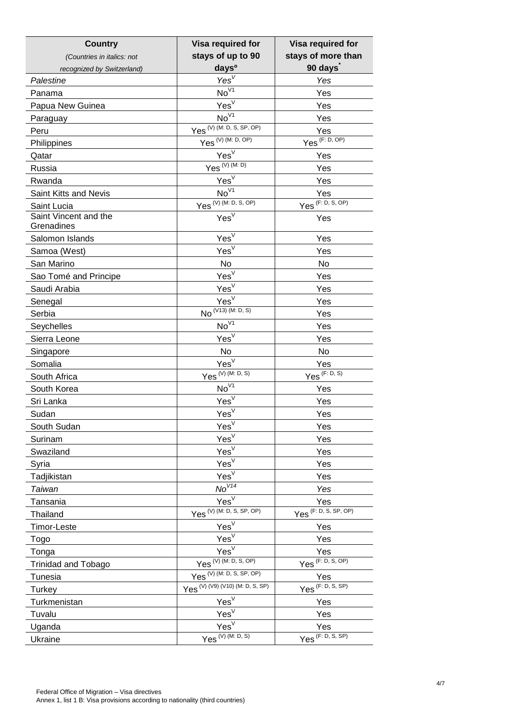| <b>Country</b>                      | Visa required for                       | Visa required for                   |
|-------------------------------------|-----------------------------------------|-------------------------------------|
| (Countries in italics: not          | stays of up to 90                       | stays of more than                  |
| recognized by Switzerland)          | days <sup>o</sup>                       | 90 days                             |
| Palestine                           | Yes <sup>V</sup>                        | Yes                                 |
| Panama                              | $No^{\sqrt{1}}$                         | Yes                                 |
| Papua New Guinea                    | Yes <sup>V</sup>                        | Yes                                 |
| Paraguay                            | $No^{\overline{V1}}$                    | Yes                                 |
| Peru                                | $Yes^{\overline{(V)}(M: D, S, SP, OP)}$ | Yes                                 |
| Philippines                         | $Yes^{(V) (M: D, OP)}$                  | $Yes^{(F: D, OP)}$                  |
| Qatar                               | Yes <sup>V</sup>                        | Yes                                 |
| Russia                              | $Yes^{(V)(M:D)}$                        | Yes                                 |
| Rwanda                              | Yes <sup>V</sup>                        | Yes                                 |
| Saint Kitts and Nevis               | $No^{\overline{V1}}$                    | Yes                                 |
| Saint Lucia                         | $Yes^{ (V) (M: D, S, OP) }$             | $Yes^{(F: D, S, OP)}$               |
| Saint Vincent and the<br>Grenadines | Yes <sup>V</sup>                        | Yes                                 |
| Salomon Islands                     | Yes <sup>V</sup>                        | Yes                                 |
| Samoa (West)                        | Yes <sup>V</sup>                        | Yes                                 |
| San Marino                          | No                                      | No                                  |
| Sao Tomé and Principe               | $Yes^{\overline{V}}$                    | Yes                                 |
| Saudi Arabia                        | Yes <sup>V</sup>                        | Yes                                 |
| Senegal                             | Yes <sup>V</sup>                        | Yes                                 |
| Serbia                              | $NO^{(V13) (M: D, S)}$                  | Yes                                 |
| Seychelles                          | $No^{\sqrt{1}}$                         | Yes                                 |
| Sierra Leone                        | Yes <sup>V</sup>                        | Yes                                 |
| Singapore                           | <b>No</b>                               | No                                  |
| Somalia                             | $Yes^{\overline{V}}$                    | Yes                                 |
| South Africa                        | $Yes^{(V) (M. D, S)}$                   | $Yes^{(F: D, S)}$                   |
| South Korea                         | $No\sqrt{1}$                            | Yes                                 |
| Sri Lanka                           | Yes <sup>V</sup>                        | Yes                                 |
| Sudan                               | Yes <sup>V</sup>                        | Yes                                 |
| South Sudan                         | $YesV$                                  | Yes                                 |
| Surinam                             | Yes <sup>V</sup>                        | Yes                                 |
| Swaziland                           | Yes <sup>V</sup>                        | Yes                                 |
| Syria                               | Yes <sup>V</sup>                        | Yes                                 |
| Tadjikistan                         | Yes <sup>V</sup>                        | Yes                                 |
| Taiwan                              | No <sup>V14</sup>                       | Yes                                 |
| Tansania                            | Yes <sup>V</sup>                        | Yes                                 |
| Thailand                            | $Yes^{(V) (M: D, S, SP, OP)}$           | $Yes^{\frac{1}{(F: D, S, SP, OP)}}$ |
| Timor-Leste                         | Yes <sup>V</sup>                        | Yes                                 |
| Togo                                | Yes <sup>V</sup>                        | Yes                                 |
| Tonga                               | Yes <sup>V</sup>                        | Yes                                 |
| <b>Trinidad and Tobago</b>          | $(V)$ (M: D, S, OP)<br>Yes              | (F: D, S, OP)<br>Yes                |
| Tunesia                             | Yes <sup>(V)</sup> (M: D, S, SP, OP)    | Yes                                 |
| Turkey                              | Yes (V) (V9) (V10) (M: D, S, SP)        | $Yes^{\overline{(F: D, S, SP)}}$    |
| Turkmenistan                        | Yes <sup>V</sup>                        | Yes                                 |
| Tuvalu                              | Yes <sup>V</sup>                        | Yes                                 |
| Uganda                              | Yes <sup>V</sup>                        | Yes                                 |
| Ukraine                             | $Yes^{(V) (M. D, S)}$                   | Yes <sup>(F: D, S, SP)</sup>        |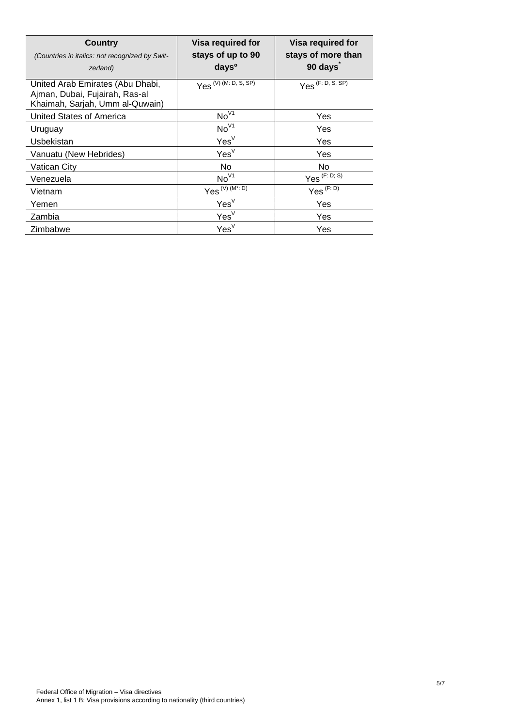| Country<br>(Countries in italics: not recognized by Swit-<br>zerland)                                 | Visa required for<br>stays of up to 90<br>days <sup>o</sup> | Visa required for<br>stays of more than<br>90 days |
|-------------------------------------------------------------------------------------------------------|-------------------------------------------------------------|----------------------------------------------------|
| United Arab Emirates (Abu Dhabi,<br>Ajman, Dubai, Fujairah, Ras-al<br>Khaimah, Sarjah, Umm al-Quwain) | $Yes^{(V) (M: D, S, \overline{SP})}$                        | Yes <sup>(F: D, S, SP)</sup>                       |
| United States of America                                                                              | No <sup>V1</sup>                                            | Yes                                                |
| Uruguay                                                                                               | No <sup>V1</sup>                                            | Yes                                                |
| Usbekistan                                                                                            | Yes <sup>V</sup>                                            | Yes                                                |
| Vanuatu (New Hebrides)                                                                                | Yes <sup>V</sup>                                            | Yes                                                |
| Vatican City                                                                                          | No.                                                         | No.                                                |
| Venezuela                                                                                             | No <sup>V1</sup>                                            | Yes <sup>(F: D; S)</sup>                           |
| Vietnam                                                                                               | $Yes^{(V) (M^*: D)}$                                        | $Yes^{(F:D)}$                                      |
| Yemen                                                                                                 | Yes <sup>V</sup>                                            | Yes                                                |
| Zambia                                                                                                | Yes <sup>V</sup>                                            | Yes                                                |
| Zimbabwe                                                                                              | Yes <sup>V</sup>                                            | Yes                                                |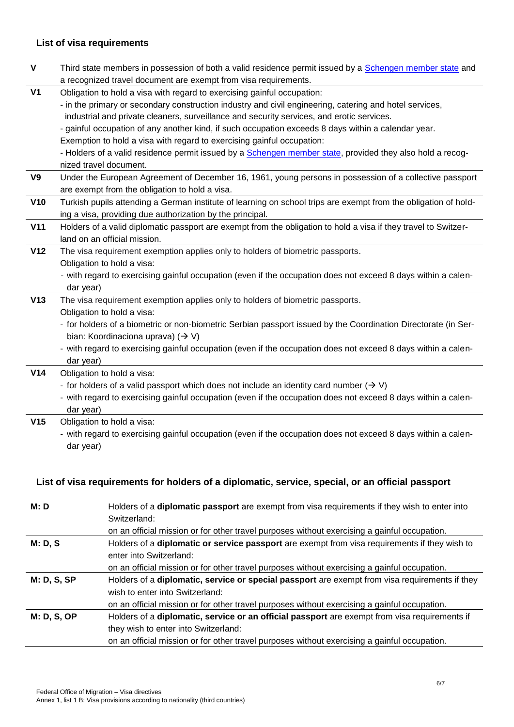## **List of visa requirements**

| $\pmb{\mathsf{V}}$ | Third state members in possession of both a valid residence permit issued by a Schengen member state and        |
|--------------------|-----------------------------------------------------------------------------------------------------------------|
|                    | a recognized travel document are exempt from visa requirements.                                                 |
| V <sub>1</sub>     | Obligation to hold a visa with regard to exercising gainful occupation:                                         |
|                    | - in the primary or secondary construction industry and civil engineering, catering and hotel services,         |
|                    | industrial and private cleaners, surveillance and security services, and erotic services.                       |
|                    | - gainful occupation of any another kind, if such occupation exceeds 8 days within a calendar year.             |
|                    | Exemption to hold a visa with regard to exercising gainful occupation:                                          |
|                    | - Holders of a valid residence permit issued by a Schengen member state, provided they also hold a recog-       |
|                    | nized travel document.                                                                                          |
| V <sub>9</sub>     | Under the European Agreement of December 16, 1961, young persons in possession of a collective passport         |
|                    | are exempt from the obligation to hold a visa.                                                                  |
| V10                | Turkish pupils attending a German institute of learning on school trips are exempt from the obligation of hold- |
|                    | ing a visa, providing due authorization by the principal.                                                       |
| V <sub>11</sub>    | Holders of a valid diplomatic passport are exempt from the obligation to hold a visa if they travel to Switzer- |
|                    | land on an official mission.                                                                                    |
| V <sub>12</sub>    | The visa requirement exemption applies only to holders of biometric passports.                                  |
|                    | Obligation to hold a visa:                                                                                      |
|                    | - with regard to exercising gainful occupation (even if the occupation does not exceed 8 days within a calen-   |
|                    | dar year)                                                                                                       |
| V13                | The visa requirement exemption applies only to holders of biometric passports.                                  |
|                    | Obligation to hold a visa:                                                                                      |
|                    | - for holders of a biometric or non-biometric Serbian passport issued by the Coordination Directorate (in Ser-  |
|                    | bian: Koordinaciona uprava) $(\rightarrow V)$                                                                   |
|                    | - with regard to exercising gainful occupation (even if the occupation does not exceed 8 days within a calen-   |
|                    | dar year)                                                                                                       |
| V <sub>14</sub>    | Obligation to hold a visa:                                                                                      |
|                    | - for holders of a valid passport which does not include an identity card number $(\rightarrow V)$              |
|                    | - with regard to exercising gainful occupation (even if the occupation does not exceed 8 days within a calen-   |
|                    | dar year)                                                                                                       |
| V15                | Obligation to hold a visa:                                                                                      |
|                    | - with regard to exercising gainful occupation (even if the occupation does not exceed 8 days within a calen-   |
|                    | dar year)                                                                                                       |
|                    |                                                                                                                 |

## **List of visa requirements for holders of a diplomatic, service, special, or an official passport**

| M: D               | Holders of a <b>diplomatic passport</b> are exempt from visa requirements if they wish to enter into<br>Switzerland: |
|--------------------|----------------------------------------------------------------------------------------------------------------------|
|                    | on an official mission or for other travel purposes without exercising a gainful occupation.                         |
| M: D, S            | Holders of a diplomatic or service passport are exempt from visa requirements if they wish to                        |
|                    | enter into Switzerland:                                                                                              |
|                    | on an official mission or for other travel purposes without exercising a gainful occupation.                         |
| <b>M: D, S, SP</b> | Holders of a diplomatic, service or special passport are exempt from visa requirements if they                       |
|                    | wish to enter into Switzerland:                                                                                      |
|                    | on an official mission or for other travel purposes without exercising a gainful occupation.                         |
| <b>M: D, S, OP</b> | Holders of a diplomatic, service or an official passport are exempt from visa requirements if                        |
|                    | they wish to enter into Switzerland:                                                                                 |
|                    | on an official mission or for other travel purposes without exercising a gainful occupation.                         |